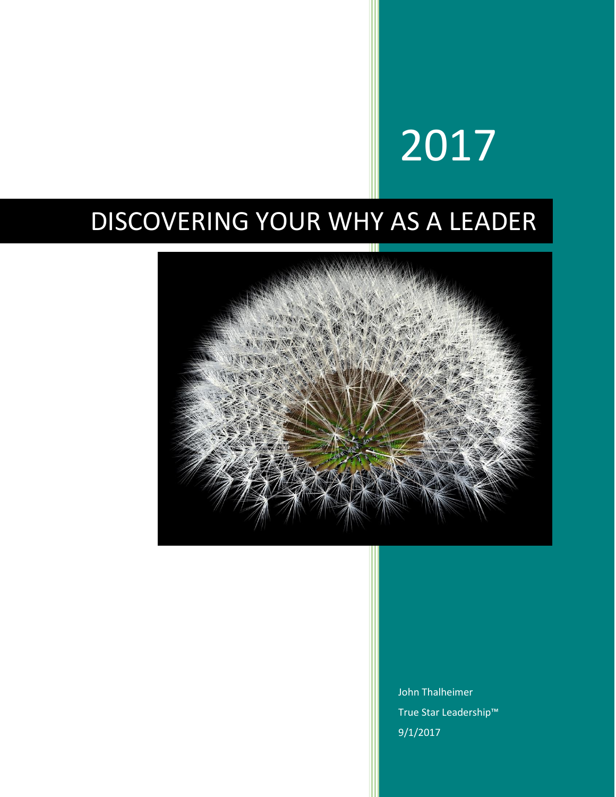# 2017

### DISCOVERING YOUR WHY AS A LEADER



John Thalheimer True Star Leadership™ 9/1/2017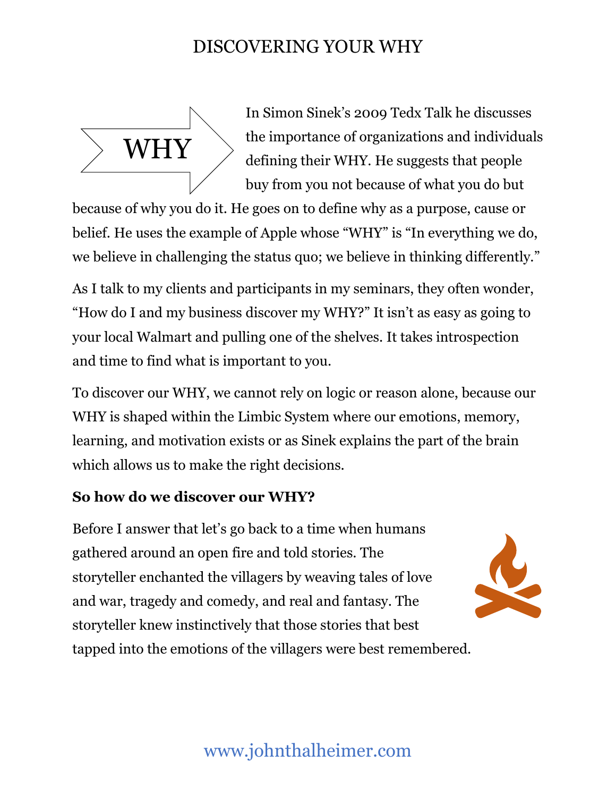

In Simon Sinek's 2009 Tedx Talk he discusses the importance of organizations and individuals defining their WHY. He suggests that people buy from you not because of what you do but

because of why you do it. He goes on to define why as a purpose, cause or belief. He uses the example of Apple whose "WHY" is "In everything we do, we believe in challenging the status quo; we believe in thinking differently."

As I talk to my clients and participants in my seminars, they often wonder, "How do I and my business discover my WHY?" It isn't as easy as going to your local Walmart and pulling one of the shelves. It takes introspection and time to find what is important to you.

To discover our WHY, we cannot rely on logic or reason alone, because our WHY is shaped within the Limbic System where our emotions, memory, learning, and motivation exists or as Sinek explains the part of the brain which allows us to make the right decisions.

#### **So how do we discover our WHY?**

Before I answer that let's go back to a time when humans gathered around an open fire and told stories. The storyteller enchanted the villagers by weaving tales of love and war, tragedy and comedy, and real and fantasy. The storyteller knew instinctively that those stories that best tapped into the emotions of the villagers were best remembered.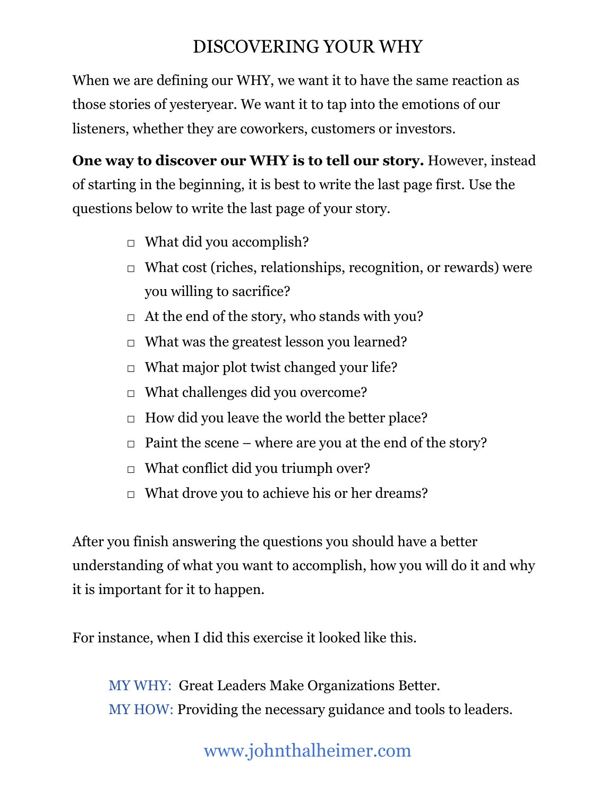When we are defining our WHY, we want it to have the same reaction as those stories of yesteryear. We want it to tap into the emotions of our listeners, whether they are coworkers, customers or investors.

**One way to discover our WHY is to tell our story.** However, instead of starting in the beginning, it is best to write the last page first. Use the questions below to write the last page of your story.

- $\Box$  What did you accomplish?
- $\Box$  What cost (riches, relationships, recognition, or rewards) were you willing to sacrifice?
- $\Box$  At the end of the story, who stands with you?
- $\Box$  What was the greatest lesson you learned?
- $\Box$  What major plot twist changed your life?
- □ What challenges did you overcome?
- $\Box$  How did you leave the world the better place?
- $\Box$  Paint the scene where are you at the end of the story?
- $\Box$  What conflict did you triumph over?
- $\Box$  What drove you to achieve his or her dreams?

After you finish answering the questions you should have a better understanding of what you want to accomplish, how you will do it and why it is important for it to happen.

For instance, when I did this exercise it looked like this.

MY WHY: Great Leaders Make Organizations Better. MY HOW: Providing the necessary guidance and tools to leaders.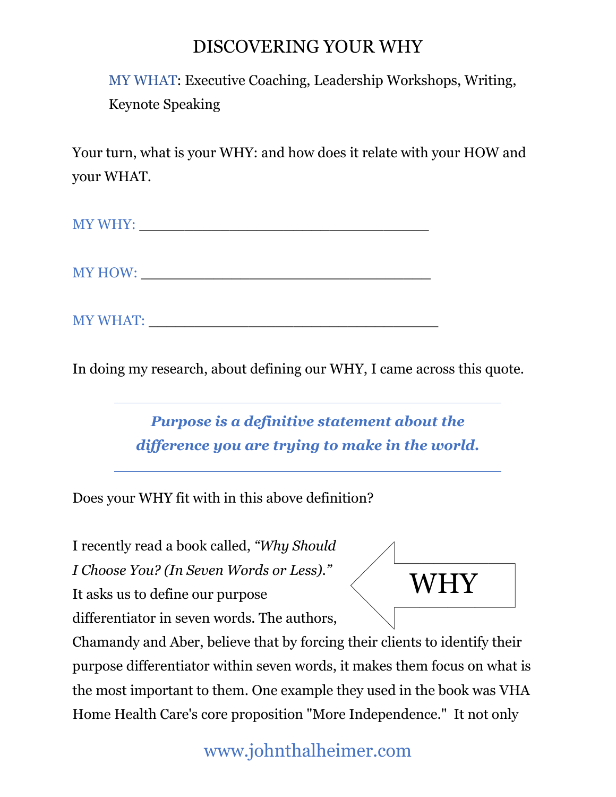MY WHAT: Executive Coaching, Leadership Workshops, Writing, Keynote Speaking

Your turn, what is your WHY: and how does it relate with your HOW and your WHAT.

| <b>MY WHY</b> |
|---------------|
|---------------|

MY HOW:

MY WHAT: \_\_\_\_\_\_\_\_\_\_\_\_\_\_\_\_\_\_\_\_\_\_\_\_\_\_\_\_\_\_\_\_

In doing my research, about defining our WHY, I came across this quote.

*Purpose is a definitive statement about the difference you are trying to make in the world.*

Does your WHY fit with in this above definition?

I recently read a book called, *"Why Should* 

*I Choose You? (In Seven Words or Less)."*

It asks us to define our purpose

differentiator in seven words. The authors,



Chamandy and Aber, believe that by forcing their clients to identify their purpose differentiator within seven words, it makes them focus on what is the most important to them. One example they used in the book was VHA Home Health Care's core proposition "More Independence." It not only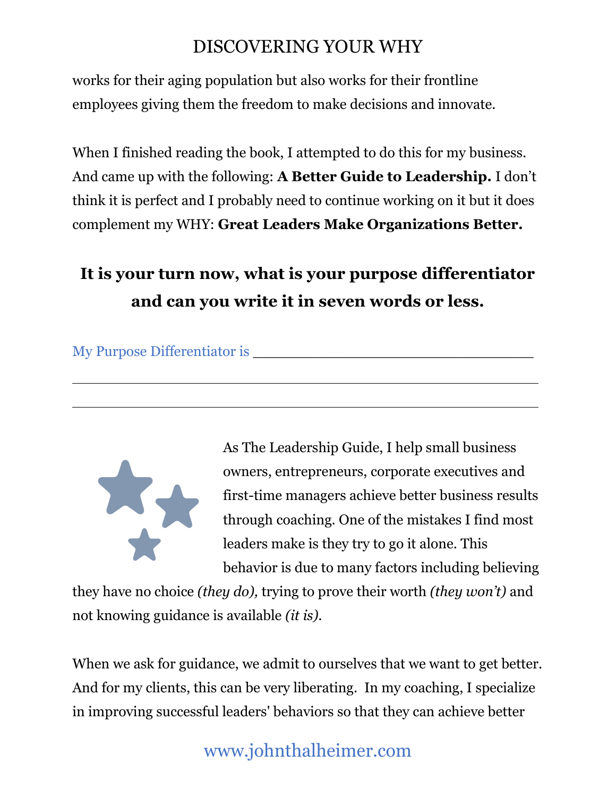works for their aging population but also works for their frontline employees giving them the freedom to make decisions and innovate.

When I finished reading the book, I attempted to do this for my business. And came up with the following: **A Better Guide to Leadership.** I don't think it is perfect and I probably need to continue working on it but it does complement my WHY: **Great Leaders Make Organizations Better.**

#### **It is your turn now, what is your purpose differentiator and can you write it in seven words or less.**

My Purpose Differentiator is \_\_\_\_\_\_\_\_\_\_\_\_\_\_\_\_\_\_\_\_\_\_\_\_\_\_\_\_\_\_\_



As The Leadership Guide, I help small business owners, entrepreneurs, corporate executives and first-time managers achieve better business results through coaching. One of the mistakes I find most leaders make is they try to go it alone. This behavior is due to many factors including believing

they have no choice *(they do),* trying to prove their worth *(they won't)* and not knowing guidance is available *(it is).* 

When we ask for guidance, we admit to ourselves that we want to get better. And for my clients, this can be very liberating. In my coaching, I specialize in improving successful leaders' behaviors so that they can achieve better